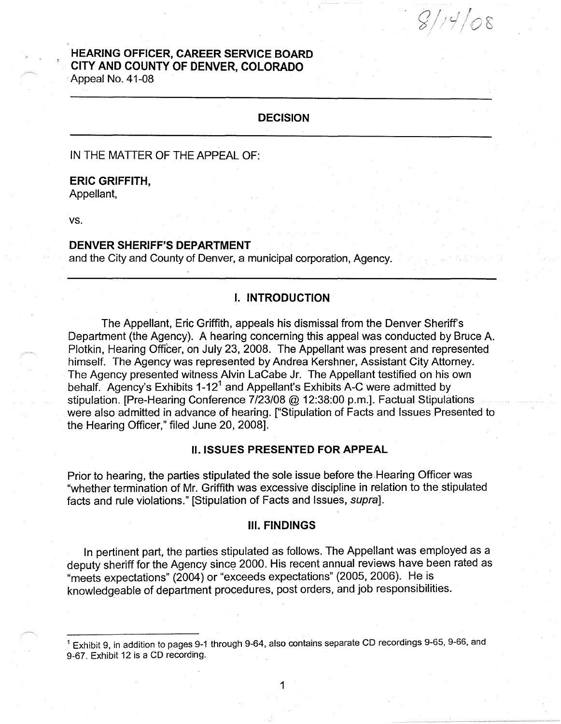# **HEARING OFFICER, CAREER SERVICE BOARD CITY AND COUNTY OF DENVER, COLORADO**  Appeal No. 41-08

# **DECISION**

 $\overline{\bigcirc}$  $\swarrow$ 

IN THE MATTER OF THE APPEAL OF:

#### **ERIC GRIFFITH,**

Appellant,

vs.

#### **DENVER SHERIFF'S DEPARTMENT**

and the City and County of Denver, a municipal corporation, Agency.

# I. **INTRODUCTION**

The Appellant, Eric Griffith, appeals his dismissal from the Denver Sheriff's Department (the Agency). A hearing concerning this appeal was conducted by Bruce A. Plotkin, Hearing Officer, on July 23, 2008. The Appellant was present and represented himself. The Agency was represented by Andrea Kershner, Assistant City Attorney. The Agency presented witness Alvin LaCabe Jr. The Appellant testified on his own behalf. Agency's Exhibits 1-12<sup>1</sup> and Appellant's Exhibits A-C were admitted by stipulation. [Pre-Hearing Conference 7/23/08@ 12:38:00 p.m.]. Factual Stipulations were also admitted in advance of hearing. ["Stipulation of Facts and Issues Presented to the Hearing Officer," filed June 20, 2008].

#### II. **ISSUES PRESENTED FOR APPEAL**

Prior to hearing, the parties stipulated the sole issue before the Hearing Officer was "whether termination of Mr. Griffith was excessive discipline in relation to the stipulated facts and rule violations." [Stipulation of Facts and Issues, supra].

#### **Ill. FINDINGS**

In pertinent part, the parties stipulated as follows. The Appellant was employed as a deputy sheriff for the Agency since 2000. His recent annual reviews have been rated as "meets expectations" (2004) or "exceeds expectations" (2005, 2006). He is knowledgeable of department procedures, post orders, and job responsibilities.

 $<sup>1</sup>$  Exhibit 9, in addition to pages 9-1 through 9-64, also contains separate CD recordings 9-65, 9-66, and</sup> 9-67. Exhibit 12 is a CD recording.

1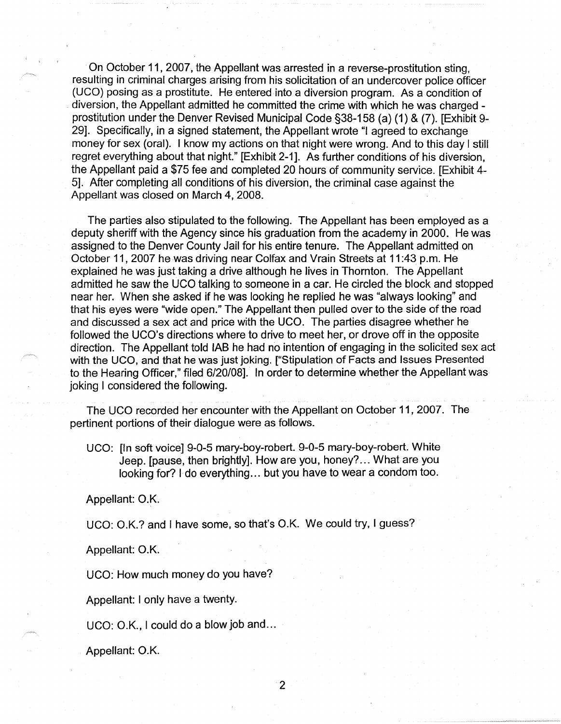On October 11, 2007, the Appellant was arrested in a reverse-prostitution sting, resulting in criminal charges arising from his solicitation of an undercover police officer (UCO) posing as a prostitute. He entered into a diversion program. As a condition of diversion, the Appellant admitted he committed the crime with which he was charged prostitution under the Denver Revised Municipal Code §38-158 (a) (1) & (7). [Exhibit 9- 29]. Specifically, in a signed statement, the Appellant wrote "I agreed to exchange money for sex (oral). I know my actions on that night were wrong. And to this day I still regret everything about that night." [Exhibit 2-1]. As further conditions of his diversion, the Appellant paid a \$75 fee and completed 20 hours of community service. [Exhibit 4- 5]. After completing all conditions of his diversion, the criminal case against the Appellant was closed on March 4, 2008.

The parties also stipulated to the following. The Appellant has been employed as a deputy sheriff with the Agency since his graduation from the academy in 2000. He was assigned to the Denver County Jail for his entire tenure. The Appellant admitted on October 11, 2007 he was driving near Colfax and Vrain Streets at 11 :43 p.m. He explained he was just taking a drive although he lives in Thornton. The Appellant admitted he saw the UCO talking to someone in a car. He circled the block and stopped near her. When she asked if he was looking he replied he was "always looking" and that his eyes were "wide open." The Appellant then pulled over to the side of the road and discussed a sex act and price with the UCO. The parties disagree whether he followed the UCO's directions where to drive to meet her, or drove off in the opposite direction. The Appellant told IAB he had no intention of engaging in the solicited sex act with the UCO, and that he was just joking. ["Stipulation of Facts and Issues Presented to the Hearing Officer," filed 6/20/08]. In order to determine whether the Appellant was joking I considered the following.

The UCO recorded her encounter with the Appellant on October 11, 2007. The pertinent portions of their dialogue were as follows.

UCO: [In soft voice] 9-0-5 mary-boy-robert. 9-0-5 mary-boy-robert. White Jeep. [pause, then brightly]. How are you, honey? ... What are you looking for? I do everything ... but you have to wear a condom too.

Appellant: **O.K.** 

UCO: O.K.? and I have some, so that's O.K. We could try, I guess?

Appellant: **O.K.** 

UCO: How much money do you have?

Appellant: I only have a twenty.

UCO: O.K., I could do a blow job and...

Appellant: O.K.

2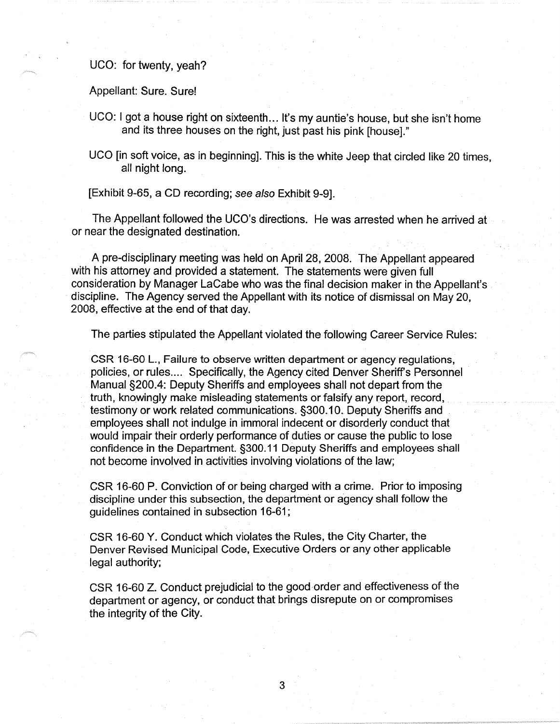UCO: for twenty, yeah?

Appellant: Sure. Sure!

- UCO: I got a house right on sixteenth... It's my auntie's house, but she isn't home and its three houses on the right, just past his pink [house]."
- UCO [in soft voice, as in beginning]. This is the white Jeep that circled like 20 times, all night long.

[Exhibit 9-65, a CD recording; see also Exhibit 9-9].

The Appellant followed the UCO's directions. He was arrested when he arrived at or near the designated destination.

A pre-disciplinary meeting was held on April 28, 2008. The Appellant appeared with his attorney and provided a statement. The statements were given full consideration by Manager LaCabe who was the final decision maker in the Appellant's discipline. The Agency served the Appellant with its notice of dismissal on May 20, 2008, effective at the end of that day.

The parties stipulated the Appellant violated the following Career Service Rules:

CSR 16-60 L., Failure to observe written department or agency regulations, policies, or rules.... Specifically, the Agency cited Denver Sheriff's Personnel Manual §200.4: Deputy Sheriffs and employees shall not depart from the truth, knowingly make misleading statements or falsify any report, record, testimony or work related communications. §300.10. Deputy Sheriffs and employees shall not indulge in immoral indecent or disorderly conduct that would impair their orderly performance of duties or cause the public to lose confidence in the Department. §300.11 Deputy Sheriffs and employees shall not become involved in activities involving violations of the law;

CSR 16-60 P. Conviction of or being charged with a crime. Prior to imposing discipline under this subsection, the department or agency shall follow the guidelines contained in subsection 16-61;

CSR 16-60 Y. Conduct which violates the Rules, the City Charter, the Denver Revised Municipal Code, Executive Orders or any other applicable legal authority;

CSR 16-60 Z. Conduct prejudicial to the good order and effectiveness of the department or agency, or conduct that brings disrepute on or compromises the integrity of the City.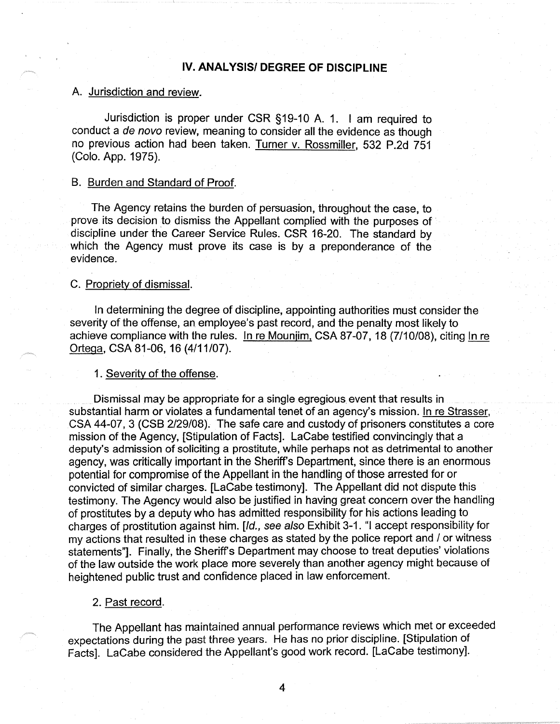# **IV. ANAL YSISI DEGREE OF DISCIPLINE**

### A. Jurisdiction and review.

Jurisdiction is proper under CSR §19-10 A. 1. I am required to conduct a de novo review, meaning to consider all the evidence as though no previous action had been taken. Turner v. Rossmiller, 532 P.2d 751 (Colo. App. 1975).

### 8. Burden and Standard of Proof.

The Agency retains the burden of persuasion, throughout the case, to prove its decision to dismiss the Appellant complied with the purposes of discipline under the Career Service Rules. CSR 16-20. The standard by which the Agency must prove its case is by a preponderance of the evidence.

### C. Propriety of dismissal.

In determining the degree of discipline, appointing authorities must consider the severity of the offense, an employee's past record, and the penalty most likely to achieve compliance with the rules. In re Mounjim, CSA 87-07, 18 (7/10/08), citing In re Ortega, CSA 81-06, 16 (4/11/07).

### 1. Severity of the offense.

Dismissal may be appropriate for a single egregious event that results in substantial harm or violates a fundamental tenet of an agency's mission. In re Strasser, CSA 44-07, 3 (CSB 2/29/08). The safe care and custody of prisoners constitutes a core mission of the Agency, [Stipulation of Facts]. LaCabe testified convincingly that a deputy's admission of soliciting a prostitute, while perhaps not as detrimental to another agency, was critically important in the Sheriff's Department, since there is an enormous potential for compromise of the Appellant in the handling of those arrested for or convicted of similar charges. [LaCabe testimony]. The Appellant did not dispute this testimony. The Agency would also be justified in having great concern over the handling of prostitutes by a deputy who has admitted responsibility for his actions leading to charges of prostitution against him. [Id., see also Exhibit 3-1. "I accept responsibility for my actions that resulted in these charges as stated by the police report and / or witness statements"]. Finally, the Sheriff's Department may choose to treat deputies' violations of the law outside the work place more severely than another agency might because of heightened public trust and confidence placed in law enforcement.

#### 2. Past record.

The Appellant has maintained annual performance reviews which met or exceeded expectations during the past three years. He has no prior discipline. [Stipulation of Facts]. LaCabe considered the Appellant's good work record. [LaCabe testimony].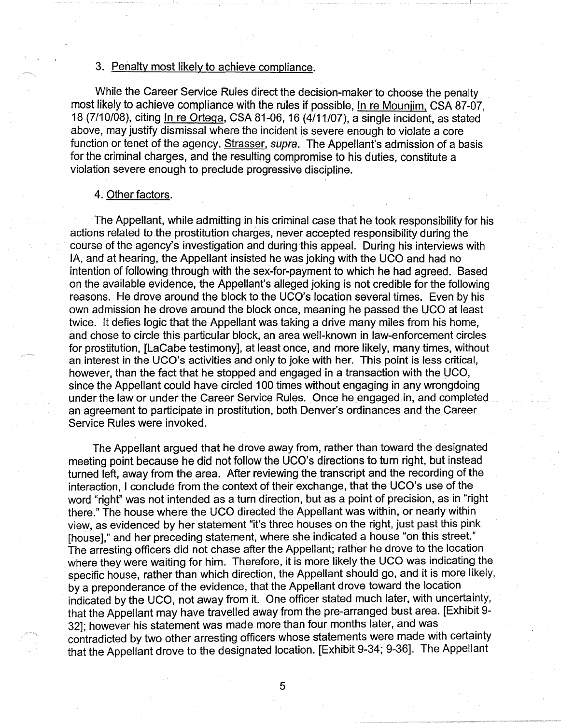# 3. Penalty most likely to achieve compliance.

While the Career Service Rules direct the decision-maker to choose the penalty most likely to achieve compliance with the rules if possible, In re Mounjim, CSA 87-07, 18 (7/10/08), citing In re Ortega, CSA 81-06, 16 (4/11/07), a single incident, as stated above, may justify dismissal where the incident is severe enough to violate a core function or tenet of the agency. Strasser, *supra.* The Appellant's admission of a basis for the criminal charges, and the resulting compromise to his duties, constitute a violation severe enough to preclude progressive discipline.

### 4. Other factors.

The Appellant, while admitting in his criminal case that he took responsibility for his actions related to the prostitution charges, never accepted responsibility during the course of the agency's investigation and during this appeal. During his interviews with IA, and at hearing, the Appellant insisted he was joking with the UCO and had no intention of following through with the sex-for-payment to which he had agreed. Based on the available evidence, the Appellant's alleged joking is not credible for the following reasons. He drove around the block to the UCO's location several times. Even by his own admission he drove around the block once, meaning he passed the UCO at least twice. It defies logic that the Appellant was taking a drive many miles from his home, and chose to circle this particular block, an area well-known in law-enforcement circles for prostitution, [LaCabe testimony], at least once, and more likely, many times, without an interest in the UCO's activities and only to joke with her. This point is less critical, however, than the fact that he stopped and engaged in a transaction with the WCO, since the Appellant could have circled 100 times without engaging in any wrongdoing under the law or under the Career Service Rules. Once he engaged in, and completed an agreement to participate in prostitution, both Denver's ordinances and the Career Service Rules were invoked.

The Appellant argued that he drove away from, rather than toward the designated meeting point because he did not follow the UCO's directions to turn right, but instead turned left, away from the area. After reviewing the transcript and the recording of the interaction, I conclude from the context of their exchange, that the UCO's use of the word "right" was not intended as a turn direction, but as a point of precision, as in "right there." The house where the UCO directed the Appellant was within, or nearly within view, as evidenced by her statement "it's three houses on the right, just past this pink [house]," and her preceding statement, where she indicated a house "on this street." The arresting officers did not chase after the Appellant; rather he drove to the location where they were waiting for him. Therefore, it is more likely the UCO was indicating the specific house, rather than which direction, the Appellant should go, and it is more likely, by a preponderance of the evidence, that the Appellant drove toward the location indicated by the UCO, not away from it. One officer stated much later, with uncertainty, that the Appellant may have travelled away from the pre-arranged bust area. [Exhibit 9- 32]; however his statement was made more than four months later, and was contradicted by two other arresting officers whose statements were made with certainty that the Appellant drove to the designated location. [Exhibit 9-34; 9-36]. The Appellant